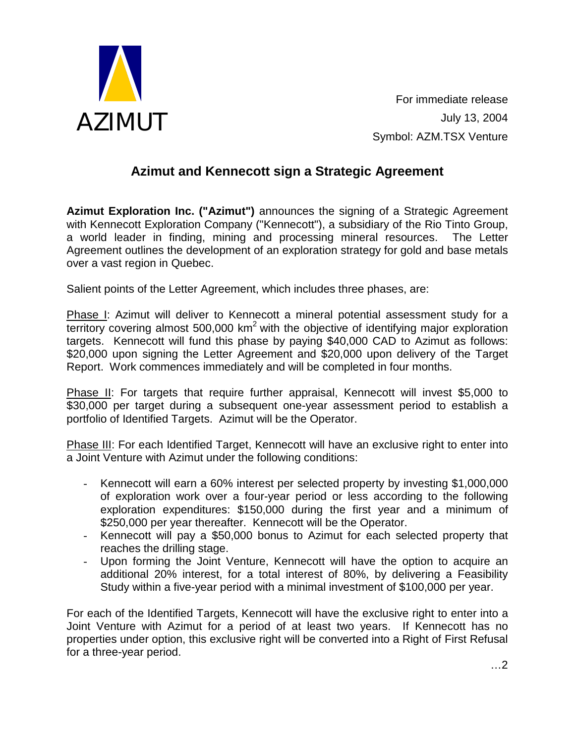

For immediate release July 13, 2004 Symbol: AZM.TSX Venture

## **Azimut and Kennecott sign a Strategic Agreement**

**Azimut Exploration Inc. ("Azimut")** announces the signing of a Strategic Agreement with Kennecott Exploration Company ("Kennecott"), a subsidiary of the Rio Tinto Group, a world leader in finding, mining and processing mineral resources. The Letter Agreement outlines the development of an exploration strategy for gold and base metals over a vast region in Quebec.

Salient points of the Letter Agreement, which includes three phases, are:

Phase I: Azimut will deliver to Kennecott a mineral potential assessment study for a territory covering almost 500,000  $km^2$  with the objective of identifying major exploration targets. Kennecott will fund this phase by paying \$40,000 CAD to Azimut as follows: \$20,000 upon signing the Letter Agreement and \$20,000 upon delivery of the Target Report. Work commences immediately and will be completed in four months.

Phase II: For targets that require further appraisal, Kennecott will invest \$5,000 to \$30,000 per target during a subsequent one-year assessment period to establish a portfolio of Identified Targets. Azimut will be the Operator.

Phase III: For each Identified Target, Kennecott will have an exclusive right to enter into a Joint Venture with Azimut under the following conditions:

- Kennecott will earn a 60% interest per selected property by investing \$1,000,000 of exploration work over a four-year period or less according to the following exploration expenditures: \$150,000 during the first year and a minimum of \$250,000 per year thereafter. Kennecott will be the Operator.
- Kennecott will pay a \$50,000 bonus to Azimut for each selected property that reaches the drilling stage.
- Upon forming the Joint Venture, Kennecott will have the option to acquire an additional 20% interest, for a total interest of 80%, by delivering a Feasibility Study within a five-year period with a minimal investment of \$100,000 per year.

For each of the Identified Targets, Kennecott will have the exclusive right to enter into a Joint Venture with Azimut for a period of at least two years. If Kennecott has no properties under option, this exclusive right will be converted into a Right of First Refusal for a three-year period.